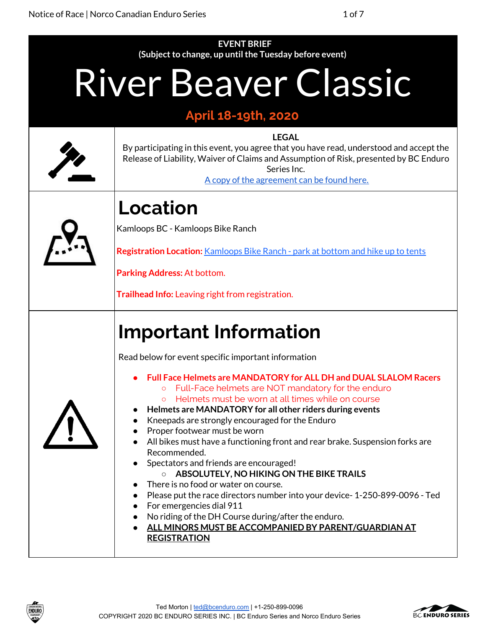| <b>EVENT BRIEF</b>                                                                                    |                                                                                                                                                                                                                                                                                                                                                                                                                                                                                                                                                                                                                                                                                                                                                                                                                                                                                                                                                           |  |  |  |
|-------------------------------------------------------------------------------------------------------|-----------------------------------------------------------------------------------------------------------------------------------------------------------------------------------------------------------------------------------------------------------------------------------------------------------------------------------------------------------------------------------------------------------------------------------------------------------------------------------------------------------------------------------------------------------------------------------------------------------------------------------------------------------------------------------------------------------------------------------------------------------------------------------------------------------------------------------------------------------------------------------------------------------------------------------------------------------|--|--|--|
| (Subject to change, up until the Tuesday before event)<br>River Beaver Classic<br>April 18-19th, 2020 |                                                                                                                                                                                                                                                                                                                                                                                                                                                                                                                                                                                                                                                                                                                                                                                                                                                                                                                                                           |  |  |  |
|                                                                                                       | <b>LEGAL</b><br>By participating in this event, you agree that you have read, understood and accept the<br>Release of Liability, Waiver of Claims and Assumption of Risk, presented by BC Enduro<br>Series Inc.<br>A copy of the agreement can be found here.                                                                                                                                                                                                                                                                                                                                                                                                                                                                                                                                                                                                                                                                                             |  |  |  |
|                                                                                                       | Location<br>Kamloops BC - Kamloops Bike Ranch<br>Registration Location: Kamloops Bike Ranch - park at bottom and hike up to tents<br>Parking Address: At bottom.<br>Trailhead Info: Leaving right from registration.                                                                                                                                                                                                                                                                                                                                                                                                                                                                                                                                                                                                                                                                                                                                      |  |  |  |
|                                                                                                       | <b>Important Information</b><br>Read below for event specific important information<br><b>Full Face Helmets are MANDATORY for ALL DH and DUAL SLALOM Racers</b><br>Full-Face helmets are NOT mandatory for the enduro<br>Helmets must be worn at all times while on course<br>$\circ$<br>Helmets are MANDATORY for all other riders during events<br>Kneepads are strongly encouraged for the Enduro<br>$\bullet$<br>Proper footwear must be worn<br>All bikes must have a functioning front and rear brake. Suspension forks are<br>Recommended.<br>Spectators and friends are encouraged!<br>ABSOLUTELY, NO HIKING ON THE BIKE TRAILS<br>There is no food or water on course.<br>Please put the race directors number into your device-1-250-899-0096 - Ted<br>For emergencies dial 911<br>$\bullet$<br>No riding of the DH Course during/after the enduro.<br>$\bullet$<br>ALL MINORS MUST BE ACCOMPANIED BY PARENT/GUARDIAN AT<br><b>REGISTRATION</b> |  |  |  |



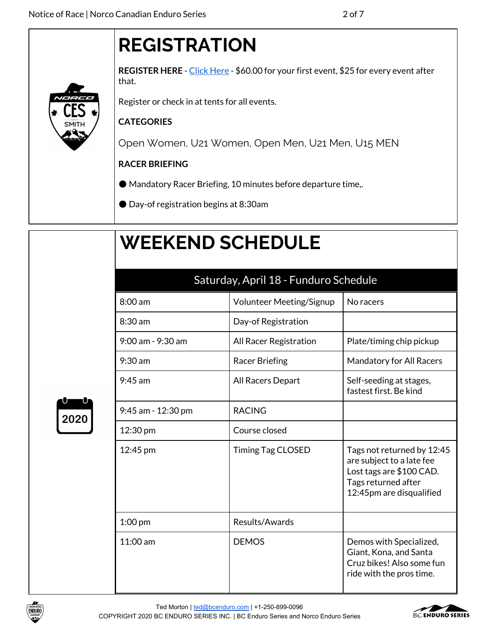## **REGISTRATION**

**REGISTER HERE** - Click [Here](https://ccnbikes.com/#!/events/river-beaver-classic-2020) - \$60.00 for your first event, \$25 for every event after that.

Register or check in at tents for all events.

## **CATEGORIES**

Open Women, U21 Women, Open Men, U21 Men, U15 MEN

## **RACER BRIEFING**

- Mandatory Racer Briefing, 10 minutes before departure time,.
- Day-of registration begins at 8:30am

## **WEEKEND SCHEDULE**

| Saturday, April 18 - Funduro Schedule |                                 |                                                                                                                                        |  |  |
|---------------------------------------|---------------------------------|----------------------------------------------------------------------------------------------------------------------------------------|--|--|
| 8:00 am                               | <b>Volunteer Meeting/Signup</b> | No racers                                                                                                                              |  |  |
| $8:30$ am                             | Day-of Registration             |                                                                                                                                        |  |  |
| 9:00 am - 9:30 am                     | <b>All Racer Registration</b>   | Plate/timing chip pickup                                                                                                               |  |  |
| $9:30$ am                             | <b>Racer Briefing</b>           | Mandatory for All Racers                                                                                                               |  |  |
| $9:45$ am                             | All Racers Depart               | Self-seeding at stages,<br>fastest first. Be kind                                                                                      |  |  |
| 9:45 am - 12:30 pm                    | <b>RACING</b>                   |                                                                                                                                        |  |  |
| 12:30 pm                              | Course closed                   |                                                                                                                                        |  |  |
| 12:45 pm                              | <b>Timing Tag CLOSED</b>        | Tags not returned by 12:45<br>are subject to a late fee<br>Lost tags are \$100 CAD.<br>Tags returned after<br>12:45pm are disqualified |  |  |
| $1:00$ pm                             | Results/Awards                  |                                                                                                                                        |  |  |
| $11:00 \text{ am}$                    | <b>DEMOS</b>                    | Demos with Specialized,<br>Giant, Kona, and Santa<br>Cruz bikes! Also some fun<br>ride with the pros time.                             |  |  |





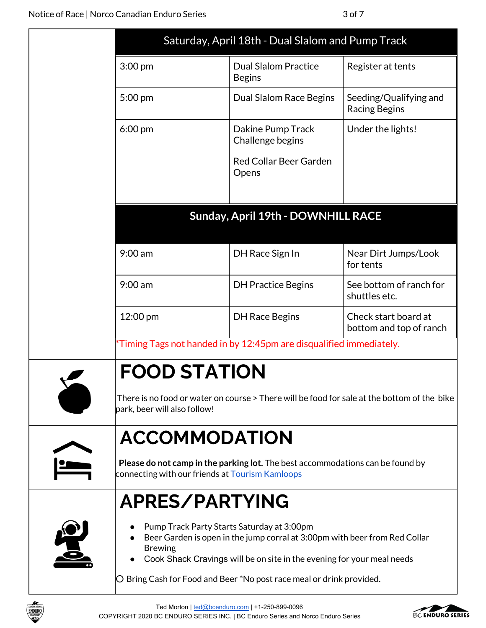|                                                                                                                                                                                                                      | Saturday, April 18th - Dual Slalom and Pump Track                                           |                                                 |
|----------------------------------------------------------------------------------------------------------------------------------------------------------------------------------------------------------------------|---------------------------------------------------------------------------------------------|-------------------------------------------------|
| 3:00 pm                                                                                                                                                                                                              | <b>Dual Slalom Practice</b><br><b>Begins</b>                                                | Register at tents                               |
| 5:00 pm                                                                                                                                                                                                              | Dual Slalom Race Begins                                                                     | Seeding/Qualifying and<br><b>Racing Begins</b>  |
| $6:00 \text{ pm}$                                                                                                                                                                                                    | Dakine Pump Track<br>Challenge begins                                                       | Under the lights!                               |
|                                                                                                                                                                                                                      | <b>Red Collar Beer Garden</b><br>Opens                                                      |                                                 |
|                                                                                                                                                                                                                      | Sunday, April 19th - DOWNHILL RACE                                                          |                                                 |
| $9:00$ am                                                                                                                                                                                                            | DH Race Sign In                                                                             | Near Dirt Jumps/Look<br>for tents               |
| $9:00$ am                                                                                                                                                                                                            | <b>DH Practice Begins</b>                                                                   | See bottom of ranch for<br>shuttles etc.        |
| 12:00 pm                                                                                                                                                                                                             | <b>DH Race Begins</b>                                                                       | Check start board at<br>bottom and top of ranch |
|                                                                                                                                                                                                                      | Timing Tags not handed in by 12:45pm are disqualified immediately.                          |                                                 |
| <b>FOOD STATION</b><br>park, beer will also follow!                                                                                                                                                                  | There is no food or water on course > There will be food for sale at the bottom of the bike |                                                 |
| <b>ACCOMMODATION</b><br>connecting with our friends at <b>Tourism Kamloops</b>                                                                                                                                       | Please do not camp in the parking lot. The best accommodations can be found by              |                                                 |
| APRES/PARTYING                                                                                                                                                                                                       |                                                                                             |                                                 |
| Pump Track Party Starts Saturday at 3:00pm<br>Beer Garden is open in the jump corral at 3:00pm with beer from Red Collar<br><b>Brewing</b><br>Cook Shack Cravings will be on site in the evening for your meal needs |                                                                                             |                                                 |
|                                                                                                                                                                                                                      | O Bring Cash for Food and Beer *No post race meal or drink provided.                        |                                                 |



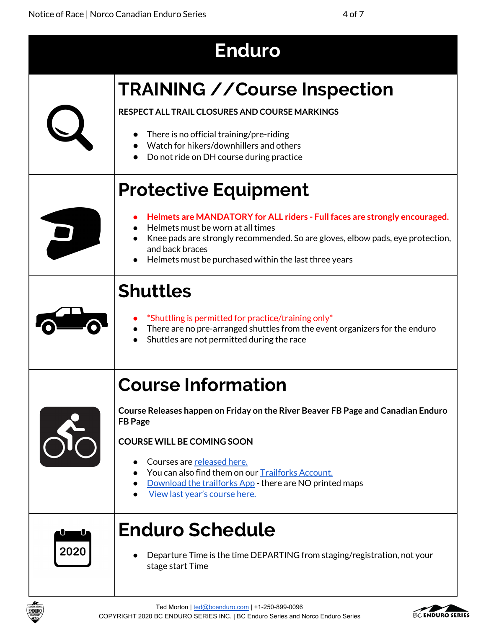|      | <b>Enduro</b>                                                                                                                                                                                                                                                                                                                                |
|------|----------------------------------------------------------------------------------------------------------------------------------------------------------------------------------------------------------------------------------------------------------------------------------------------------------------------------------------------|
|      | <b>TRAINING // Course Inspection</b><br>RESPECT ALL TRAIL CLOSURES AND COURSE MARKINGS<br>There is no official training/pre-riding<br>Watch for hikers/downhillers and others<br>Do not ride on DH course during practice                                                                                                                    |
|      | <b>Protective Equipment</b><br>Helmets are MANDATORY for ALL riders - Full faces are strongly encouraged.<br>Helmets must be worn at all times<br>Knee pads are strongly recommended. So are gloves, elbow pads, eye protection,<br>and back braces<br>Helmets must be purchased within the last three years                                 |
|      | <b>Shuttles</b><br>*Shuttling is permitted for practice/training only*<br>There are no pre-arranged shuttles from the event organizers for the enduro<br>Shuttles are not permitted during the race                                                                                                                                          |
|      | Course Information<br>Course Releases happen on Friday on the River Beaver FB Page and Canadian Enduro<br><b>FB</b> Page<br><b>COURSE WILL BE COMING SOON</b><br>Courses are released here.<br>You can also find them on our Trailforks Account.<br>Download the trailforks App - there are NO printed maps<br>View last year's course here. |
| 2020 | <b>Enduro Schedule</b><br>Departure Time is the time DEPARTING from staging/registration, not your<br>stage start Time                                                                                                                                                                                                                       |

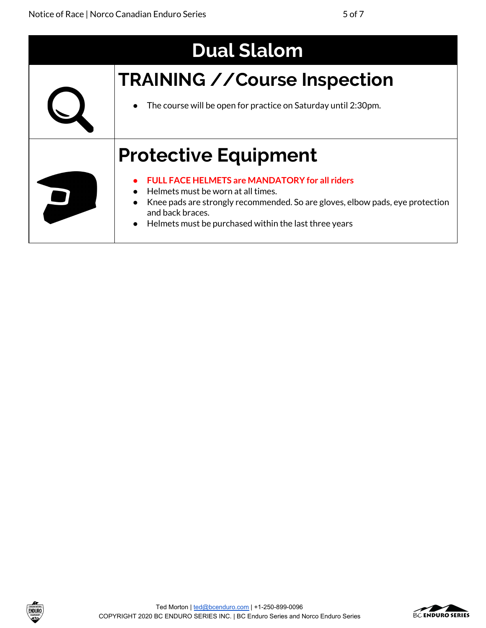| <b>Dual Slalom</b> |                                                                                                   |  |
|--------------------|---------------------------------------------------------------------------------------------------|--|
|                    | <b>TRAINING // Course Inspection</b>                                                              |  |
|                    | The course will be open for practice on Saturday until 2:30pm.                                    |  |
|                    | <b>Protective Equipment</b>                                                                       |  |
|                    | <b>FULL FACE HELMETS are MANDATORY for all riders</b><br>Helmets must be worn at all times.       |  |
|                    | Knee pads are strongly recommended. So are gloves, elbow pads, eye protection<br>and back braces. |  |
|                    | Helmets must be purchased within the last three years<br>$\bullet$                                |  |



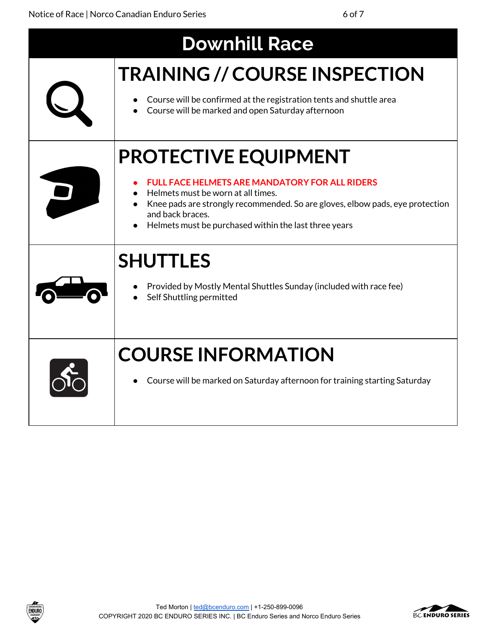